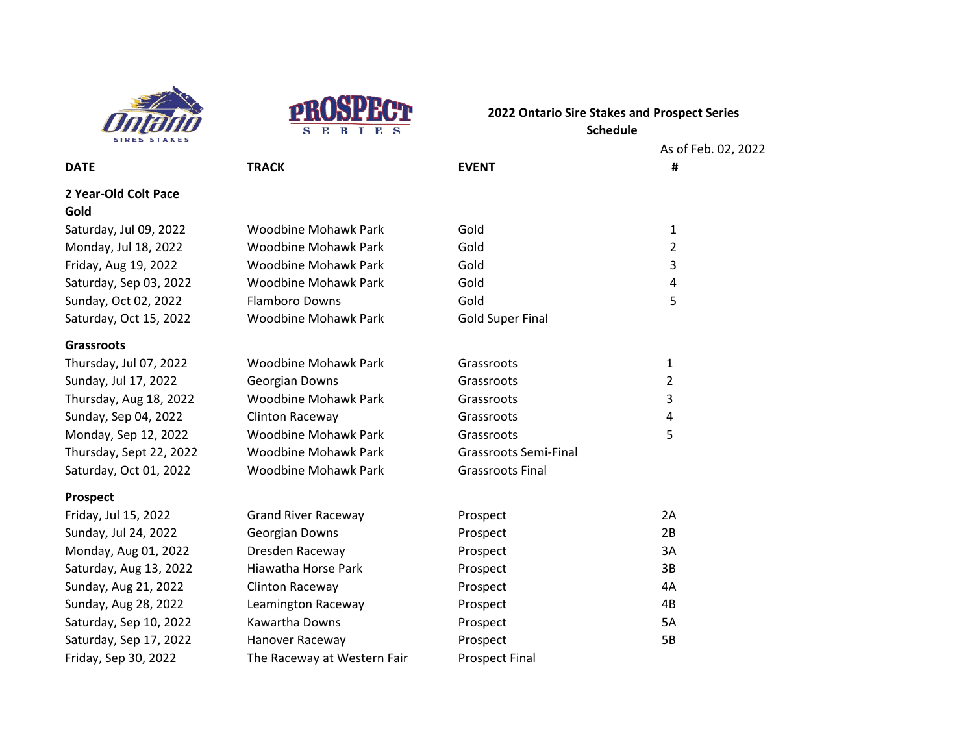



As of Feb. 02, 2022 **DATE TRACK EVENT # 2 Year-Old Colt Pace** Saturday, Jul 09, 2022 Woodbine Mohawk Park Gold 1 Monday, Jul 18, 2022 Woodbine Mohawk Park Gold 2 Friday, Aug 19, 2022 Woodbine Mohawk Park Gold 3 Saturday, Sep 03, 2022 Woodbine Mohawk Park Gold 4 Sunday, Oct 02, 2022 Flamboro Downs Gold Gold 5 Saturday, Oct 15, 2022 Woodbine Mohawk Park Gold Super Final **Grassroots** Thursday, Jul 07, 2022 Moodbine Mohawk Park Grassroots 67 Constanting Mohawk Park Grassroots Sunday, Jul 17, 2022 Georgian Downs Grassroots Grassroots 2 Thursday, Aug 18, 2022 Woodbine Mohawk Park Grassroots 3 Sunday, Sep 04, 2022 Clinton Raceway Grassroots Grassroots 4 Monday, Sep 12, 2022 Woodbine Mohawk Park Grassroots 5 Thursday, Sept 22, 2022 Woodbine Mohawk Park Grassroots Semi-Final Saturday, Oct 01, 2022 Woodbine Mohawk Park Grassroots Final **Prospect** Friday, Jul 15, 2022 **Grand River Raceway Constructs** Prospect 2A Sunday, Jul 24, 2022 **Georgian Downs** Prospect **Prospect** 2B Monday, Aug 01, 2022 Dresden Raceway Prospect Prospect 3A Saturday, Aug 13, 2022 Hiawatha Horse Park Prospect Prospect 3B Sunday, Aug 21, 2022 Clinton Raceway **Prospect** Prospect AA

Sunday, Aug 28, 2022 Leamington Raceway **Prospect** Prospect 4B Saturday, Sep 10, 2022 Kawartha Downs Prospect Prospect 5A Saturday, Sep 17, 2022 Hanover Raceway **Prospect** Prospect 5B

Friday, Sep 30, 2022 The Raceway at Western Fair Prospect Final

**Gold**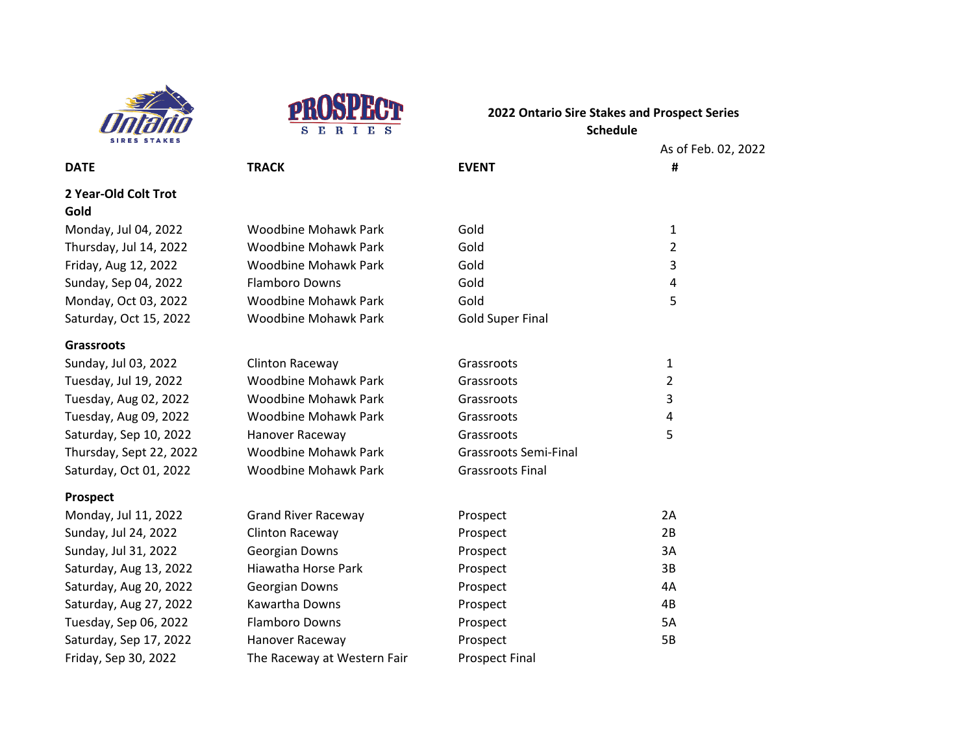



As of Feb. 02, 2022

|                              |                             |                              | As <sub>1</sub> |
|------------------------------|-----------------------------|------------------------------|-----------------|
| <b>DATE</b>                  | <b>TRACK</b>                | <b>EVENT</b>                 | Ħ               |
| 2 Year-Old Colt Trot<br>Gold |                             |                              |                 |
| Monday, Jul 04, 2022         | <b>Woodbine Mohawk Park</b> | Gold                         | 1               |
| Thursday, Jul 14, 2022       | Woodbine Mohawk Park        | Gold                         | $\overline{2}$  |
| Friday, Aug 12, 2022         | <b>Woodbine Mohawk Park</b> | Gold                         | 3               |
| Sunday, Sep 04, 2022         | <b>Flamboro Downs</b>       | Gold                         | 4               |
| Monday, Oct 03, 2022         | <b>Woodbine Mohawk Park</b> | Gold                         | 5               |
| Saturday, Oct 15, 2022       | <b>Woodbine Mohawk Park</b> | <b>Gold Super Final</b>      |                 |
| <b>Grassroots</b>            |                             |                              |                 |
| Sunday, Jul 03, 2022         | <b>Clinton Raceway</b>      | Grassroots                   | 1               |
| Tuesday, Jul 19, 2022        | <b>Woodbine Mohawk Park</b> | Grassroots                   | 2               |
| Tuesday, Aug 02, 2022        | <b>Woodbine Mohawk Park</b> | Grassroots                   | 3               |
| Tuesday, Aug 09, 2022        | <b>Woodbine Mohawk Park</b> | Grassroots                   | 4               |
| Saturday, Sep 10, 2022       | Hanover Raceway             | 5<br>Grassroots              |                 |
| Thursday, Sept 22, 2022      | <b>Woodbine Mohawk Park</b> | <b>Grassroots Semi-Final</b> |                 |
| Saturday, Oct 01, 2022       | <b>Woodbine Mohawk Park</b> | <b>Grassroots Final</b>      |                 |
| <b>Prospect</b>              |                             |                              |                 |
| Monday, Jul 11, 2022         | <b>Grand River Raceway</b>  | Prospect                     | 2A              |
| Sunday, Jul 24, 2022         | <b>Clinton Raceway</b>      | Prospect                     | 2B              |
| Sunday, Jul 31, 2022         | Georgian Downs              | Prospect                     | 3A              |
|                              |                             |                              |                 |

Saturday, Aug 13, 2022 Hiawatha Horse Park Prospect Prospect 3B Saturday, Aug 20, 2022 Georgian Downs Prospect Prospect AA

Saturday, Aug 27, 2022 Kawartha Downs Prospect Prospect 4B Tuesday, Sep 06, 2022 Flamboro Downs Prospect Function COM Saturday, Sep 17, 2022 Hanover Raceway **Frospect** Prospect 5B

Friday, Sep 30, 2022 The Raceway at Western Fair Prospect Final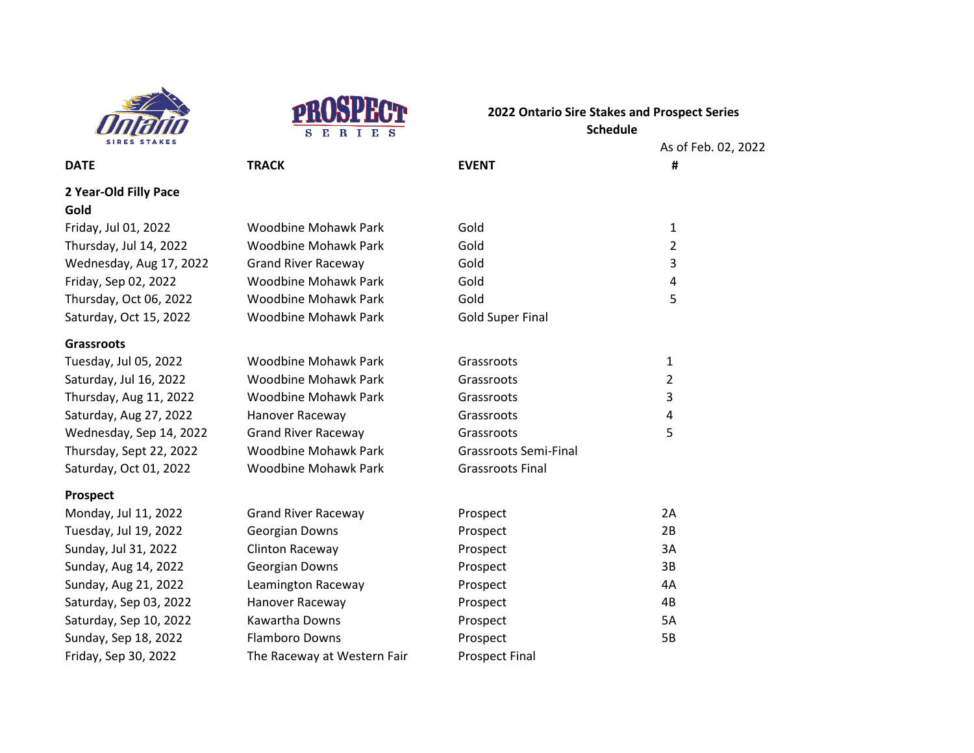



# **2022 Ontario Sire Stakes and Prospect Series**

**DATE TRACK EVENT # 2 Year-Old Filly Pace Gold** Friday, Jul 01, 2022 Woodbine Mo Thursday, Jul 14, 2022 Woodbine Mo Wednesday, Aug 17, 2022 Grand River Raceway Friday, Sep 02, 2022 Woodbine Mo Thursday, Oct 06, 2022 Woodbine Mo Saturday, Oct 15, 2022 Woodbine Mo **Grassroots** Tuesday, Jul 05, 2022 Woodbine Mo Saturday, Jul 16, 2022 Woodbine Mo Thursday, Aug 11, 2022 Woodbine Mo Saturday, Aug 27, 2022 Hanover Racey Wednesday, Sep 14, 2022 Grand River Raceway Thursday, Sept 22, 2022 Woodbine Mo Saturday, Oct 01, 2022 Woodbine Mo **Prospect**

## Monday, Jul 11, 2022 Grand River Raceway Tuesday, Jul 19, 2022 Georgian Dow Sunday, Jul 31, 2022 Clinton Racew Sunday, Aug 14, 2022 Georgian Dow Sunday, Aug 21, 2022 Leamington Raceway Saturday, Sep 03, 2022 Hanover Raceway Saturday, Sep 10, 2022 Kawartha Downs Prospect Prospect 5A Sunday, Sep 18, 2022 Flamboro Downs Prospect From Prospect 5B Friday, Sep 30, 2022 The Raceway at Western Fair Prospect Final

| UWI IIU I     |                              |                          |  |
|---------------|------------------------------|--------------------------|--|
| B.<br>R I E S | <b>Schedule</b>              |                          |  |
|               | <b>EVENT</b>                 | As of Feb. 02, 2022<br># |  |
|               |                              |                          |  |
|               |                              |                          |  |
|               |                              |                          |  |
| hawk Park     | Gold                         | $\mathbf{1}$             |  |
| hawk Park     | Gold                         | $\overline{2}$           |  |
| aceway        | Gold                         | 3                        |  |
| hawk Park     | Gold                         | 4                        |  |
| hawk Park     | Gold                         | 5                        |  |
| hawk Park     | <b>Gold Super Final</b>      |                          |  |
|               |                              |                          |  |
| hawk Park     | Grassroots                   | 1                        |  |
| hawk Park     | Grassroots                   | $\overline{2}$           |  |
| hawk Park     | Grassroots                   | 3                        |  |
| way           | Grassroots                   | 4                        |  |
| aceway        | Grassroots                   | 5                        |  |
| hawk Park     | <b>Grassroots Semi-Final</b> |                          |  |
| hawk Park     | <b>Grassroots Final</b>      |                          |  |
|               |                              |                          |  |
|               |                              | 2A                       |  |
| aceway        | Prospect                     | 2B                       |  |
| ns            | Prospect                     |                          |  |
| 'ay           | Prospect                     | 3A                       |  |
| ns            | Prospect                     | 3B                       |  |
| aceway        | Prospect                     | 4A                       |  |
| way           | Prospect                     | 4B                       |  |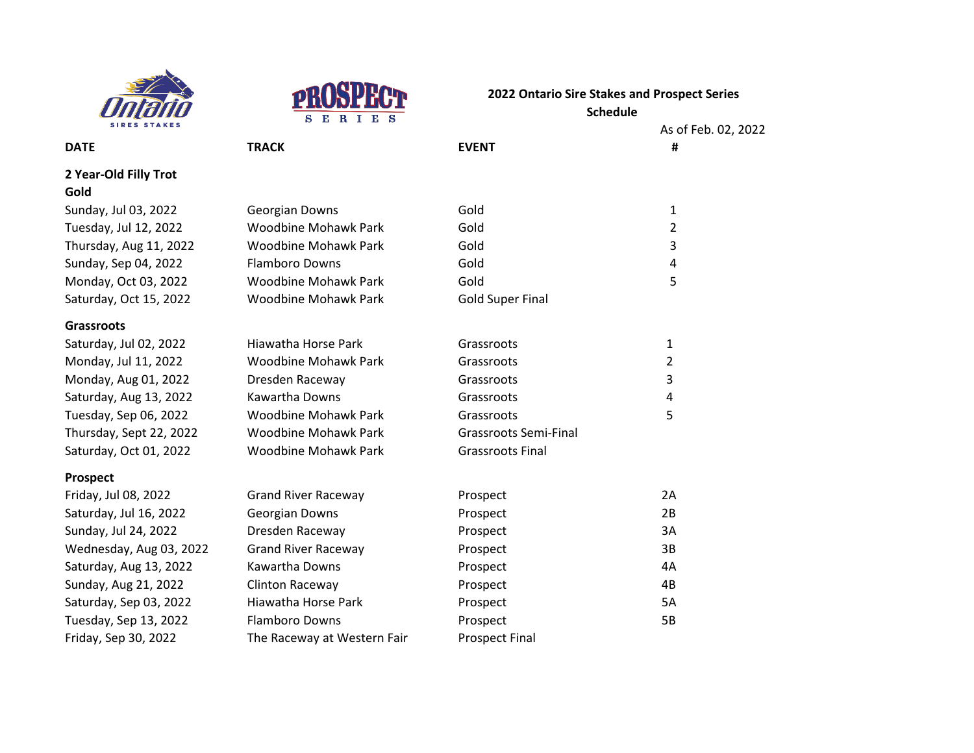



As of Feb. 02, 2022 **DATE TRACK EVENT #** Sunday, Jul 03, 2022 Georgian Downs Gold Gold 1 Tuesday, Jul 12, 2022 Woodbine Mohawk Park Gold 2 Thursday, Aug 11, 2022 Woodbine Mohawk Park Gold Gold 3 Sunday, Sep 04, 2022 Flamboro Downs Gold Gold 4 Monday, Oct 03, 2022 Woodbine Mohawk Park Gold 5 Saturday, Oct 15, 2022 Woodbine Mohawk Park Gold Super Final Hiawatha Horse Park Grassroots 1 Woodbine Mohawk Park Grassroots and December 2 Dresden Raceway **Grassroots** 3 Kawartha Downs Grassroots Grassroots 4 Woodbine Mohawk Park Grassroots 66, 2022 B Woodbine Mohawk Park Grassroots Semi-Final Woodbine Mohawk Park Grassroots Final Friday, Jul 08, 2022 **Grand River Raceway Constructs** Prospect 2A Saturday, Jul 16, 2022 Georgian Downs Prospect Prospect Prospect Prospect Prospect Prospect P Sunday, Jul 24, 2022 **Dresden Raceway Prospect** Prospect 3A Wednesday, Aug 03, 2022 Grand River Raceway Prospect Prospect 3B Saturday, Aug 13, 2022 Kawartha Downs Prospect Prospect 4A Sunday, Aug 21, 2022 Clinton Raceway **Prospect** Prospect AB

#### **2 Year-Old Filly Trot Gold**

#### **Grassroots**

| Saturday, Jul 02, 2022  |
|-------------------------|
| Monday, Jul 11, 2022    |
| Monday, Aug 01, 2022    |
| Saturday, Aug 13, 2022  |
| Tuesday, Sep 06, 2022   |
| Thursday, Sept 22, 2022 |
| Saturday, Oct 01, 2022  |
|                         |

#### **Prospect**

Friday, Sep 30, 2022 The Raceway at Western Fair Prospect Final

Saturday, Sep 03, 2022 Hiawatha Horse Park Prospect Prospect 5A Tuesday, Sep 13, 2022 Flamboro Downs Prospect From Prospect 5B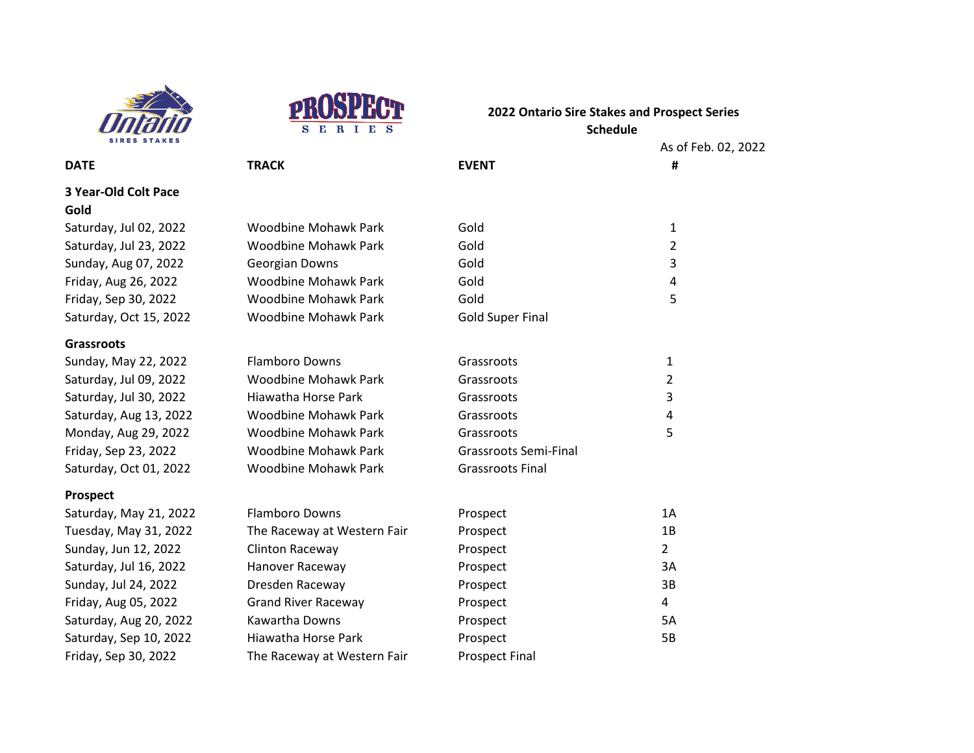



02, 2022

| <b>SIRES STAKES</b>         |                             |                              | As of Feb.              |
|-----------------------------|-----------------------------|------------------------------|-------------------------|
| <b>DATE</b>                 | <b>TRACK</b>                | <b>EVENT</b>                 | #                       |
| <b>3 Year-Old Colt Pace</b> |                             |                              |                         |
| Gold                        |                             |                              |                         |
| Saturday, Jul 02, 2022      | <b>Woodbine Mohawk Park</b> | Gold                         | 1                       |
| Saturday, Jul 23, 2022      | <b>Woodbine Mohawk Park</b> | Gold                         | 2                       |
| Sunday, Aug 07, 2022        | Georgian Downs              | Gold                         | 3                       |
| Friday, Aug 26, 2022        | <b>Woodbine Mohawk Park</b> | Gold                         | 4                       |
| Friday, Sep 30, 2022        | <b>Woodbine Mohawk Park</b> | Gold                         | 5                       |
| Saturday, Oct 15, 2022      | <b>Woodbine Mohawk Park</b> | <b>Gold Super Final</b>      |                         |
| <b>Grassroots</b>           |                             |                              |                         |
| Sunday, May 22, 2022        | <b>Flamboro Downs</b>       | Grassroots                   | 1                       |
| Saturday, Jul 09, 2022      | <b>Woodbine Mohawk Park</b> | Grassroots                   | $\overline{2}$          |
| Saturday, Jul 30, 2022      | Hiawatha Horse Park         | Grassroots                   | 3                       |
| Saturday, Aug 13, 2022      | <b>Woodbine Mohawk Park</b> | Grassroots                   | $\overline{\mathbf{4}}$ |
| Monday, Aug 29, 2022        | <b>Woodbine Mohawk Park</b> | Grassroots                   | 5                       |
| Friday, Sep 23, 2022        | <b>Woodbine Mohawk Park</b> | <b>Grassroots Semi-Final</b> |                         |
| Saturday, Oct 01, 2022      | <b>Woodbine Mohawk Park</b> | <b>Grassroots Final</b>      |                         |
| <b>Prospect</b>             |                             |                              |                         |
| Saturday, May 21, 2022      | <b>Flamboro Downs</b>       | Prospect                     | 1A                      |
| Tuesday, May 31, 2022       | The Raceway at Western Fair | Prospect                     | 1B                      |
| Sunday, Jun 12, 2022        | Clinton Raceway             | Prospect                     | $\overline{2}$          |
| Saturday, Jul 16, 2022      | Hanover Raceway             | Prospect                     | 3A                      |
| Sunday, Jul 24, 2022        | Dresden Raceway             | Prospect                     | 3B                      |
| Friday, Aug 05, 2022        | <b>Grand River Raceway</b>  | Prospect                     | 4                       |

Saturday, Aug 20, 2022 Kawartha Downs Prospect Prospect 5A Saturday, Sep 10, 2022 Hiawatha Horse Park Prospect Prospect 5B

Friday, Sep 30, 2022 The Raceway at Western Fair Prospect Final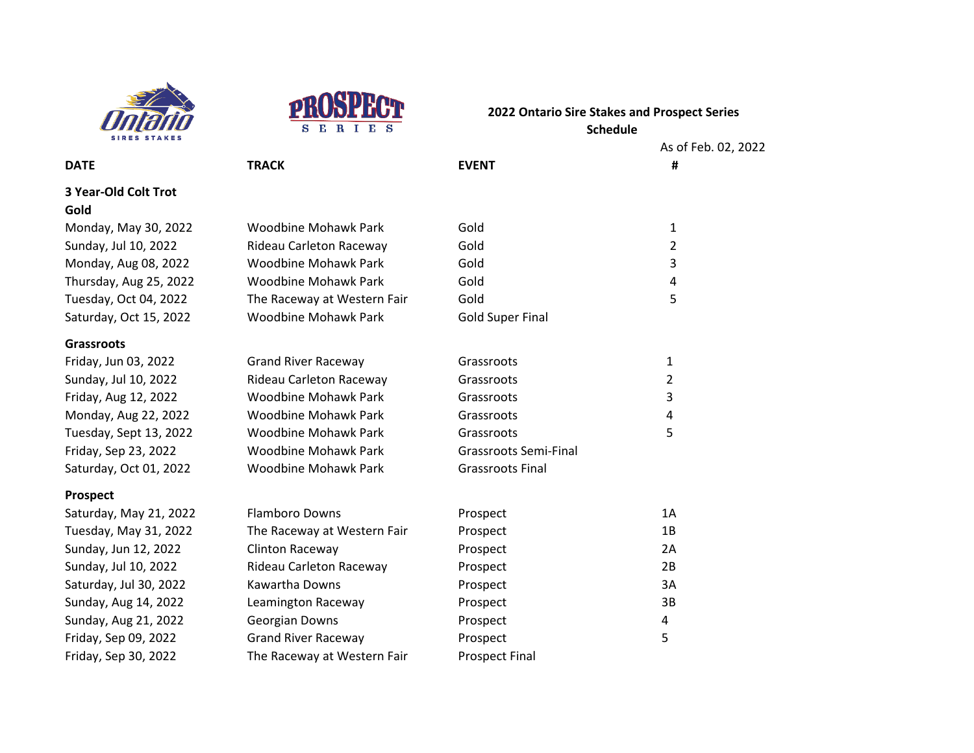



As of Feb. 02, 2022

**DATE TRACK EVENT # 3 Year-Old Colt Trot Gold** Monday, May 30, 2022 Woodbine Mohawk Park Gold Gold 1 Sunday, Jul 10, 2022 Rideau Carleton Raceway Gold 2 Monday, Aug 08, 2022 Woodbine Mohawk Park Gold Gold 3 Thursday, Aug 25, 2022 Woodbine Mohawk Park Gold Gold 4 Tuesday, Oct 04, 2022 The Raceway at Western Fair Gold 5 Saturday, Oct 15, 2022 Woodbine Mohawk Park Gold Super Final **Grassroots** Friday, Jun 03, 2022 **Grand River Raceway Grassroots** Grassroots 1 Sunday, Jul 10, 2022 Rideau Carleton Raceway Grassroots Carleton Raceway Grassroots Friday, Aug 12, 2022 Woodbine Mohawk Park Grassroots 3 Monday, Aug 22, 2022 Woodbine Mohawk Park Grassroots 4 Tuesday, Sept 13, 2022 Woodbine Mohawk Park Grassroots 67 September 2014 Friday, Sep 23, 2022 Woodbine Mohawk Park Grassroots Semi-Final Saturday, Oct 01, 2022 Woodbine Mohawk Park Grassroots Final **Prospect** Saturday, May 21, 2022 Flamboro Downs Prospect Prospect 2A Tuesday, May 31, 2022 The Raceway at Western Fair Prospect The Prospect The May 1B Sunday, Jun 12, 2022 Clinton Raceway **Prospect** Prospect 2A

| Saturday, May 21, 2022 | <b>Flamboro Downs</b>       | Prospect              | 1A |
|------------------------|-----------------------------|-----------------------|----|
| Tuesday, May 31, 2022  | The Raceway at Western Fair | Prospect              | 1B |
| Sunday, Jun 12, 2022   | Clinton Raceway             | Prospect              | 2A |
| Sunday, Jul 10, 2022   | Rideau Carleton Raceway     | Prospect              | 2B |
| Saturday, Jul 30, 2022 | Kawartha Downs              | Prospect              | 3A |
| Sunday, Aug 14, 2022   | Leamington Raceway          | Prospect              | 3B |
| Sunday, Aug 21, 2022   | Georgian Downs              | Prospect              | 4  |
| Friday, Sep 09, 2022   | <b>Grand River Raceway</b>  | Prospect              |    |
| Friday, Sep 30, 2022   | The Raceway at Western Fair | <b>Prospect Final</b> |    |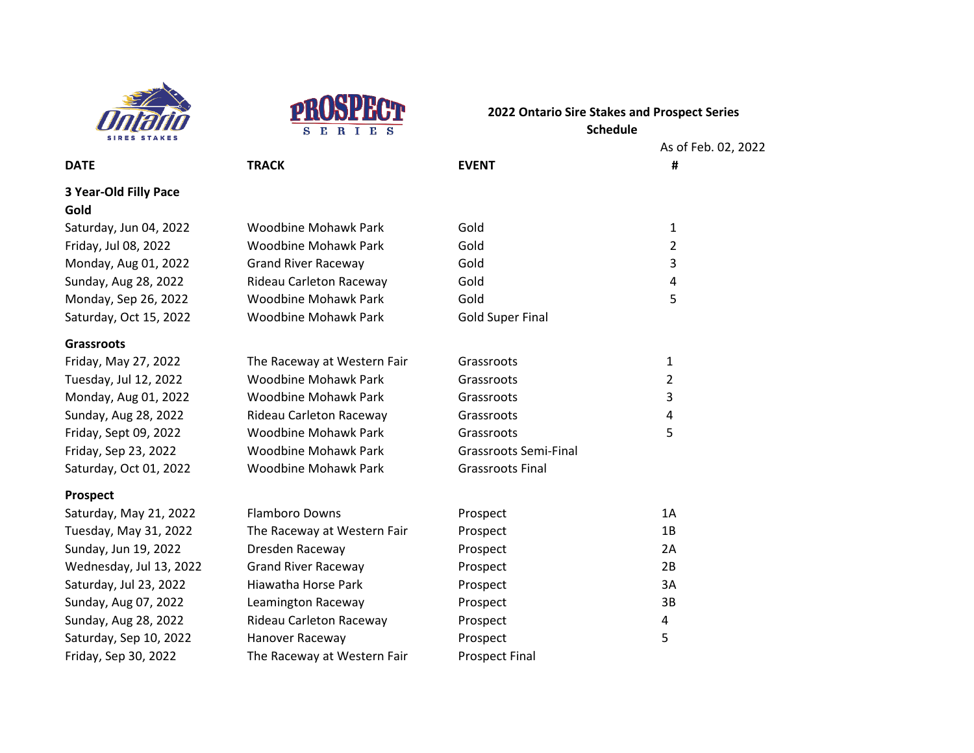



|                         |                             |                              | As of Feb. 02, 2022 |
|-------------------------|-----------------------------|------------------------------|---------------------|
| <b>DATE</b>             | <b>TRACK</b>                | <b>EVENT</b>                 | #                   |
| 3 Year-Old Filly Pace   |                             |                              |                     |
| Gold                    |                             |                              |                     |
| Saturday, Jun 04, 2022  | <b>Woodbine Mohawk Park</b> | Gold                         | 1                   |
| Friday, Jul 08, 2022    | <b>Woodbine Mohawk Park</b> | Gold                         | 2                   |
| Monday, Aug 01, 2022    | <b>Grand River Raceway</b>  | Gold                         | 3                   |
| Sunday, Aug 28, 2022    | Rideau Carleton Raceway     | Gold                         | 4                   |
| Monday, Sep 26, 2022    | <b>Woodbine Mohawk Park</b> | Gold                         | 5                   |
| Saturday, Oct 15, 2022  | <b>Woodbine Mohawk Park</b> | <b>Gold Super Final</b>      |                     |
| <b>Grassroots</b>       |                             |                              |                     |
| Friday, May 27, 2022    | The Raceway at Western Fair | Grassroots                   | $\mathbf{1}$        |
| Tuesday, Jul 12, 2022   | <b>Woodbine Mohawk Park</b> | Grassroots                   | $\overline{2}$      |
| Monday, Aug 01, 2022    | <b>Woodbine Mohawk Park</b> | Grassroots                   | 3                   |
| Sunday, Aug 28, 2022    | Rideau Carleton Raceway     | Grassroots                   | 4                   |
| Friday, Sept 09, 2022   | <b>Woodbine Mohawk Park</b> | Grassroots                   | 5                   |
| Friday, Sep 23, 2022    | <b>Woodbine Mohawk Park</b> | <b>Grassroots Semi-Final</b> |                     |
| Saturday, Oct 01, 2022  | <b>Woodbine Mohawk Park</b> | <b>Grassroots Final</b>      |                     |
| Prospect                |                             |                              |                     |
| Saturday, May 21, 2022  | <b>Flamboro Downs</b>       | Prospect                     | 1A                  |
| Tuesday, May 31, 2022   | The Raceway at Western Fair | Prospect                     | 1B                  |
| Sunday, Jun 19, 2022    | Dresden Raceway             | Prospect                     | 2A                  |
| Wednesday, Jul 13, 2022 | <b>Grand River Raceway</b>  | Prospect                     | 2B                  |
| Saturday, Jul 23, 2022  | Hiawatha Horse Park         | Prospect                     | 3A                  |

Sunday, Aug 07, 2022 Leamington Raceway **Prospect** Prospect 3B Sunday, Aug 28, 2022 Rideau Carleton Raceway Prospect 4 Saturday, Sep 10, 2022 Hanover Raceway **Fig. 2018** Prospect 5

Friday, Sep 30, 2022 The Raceway at Western Fair Prospect Final